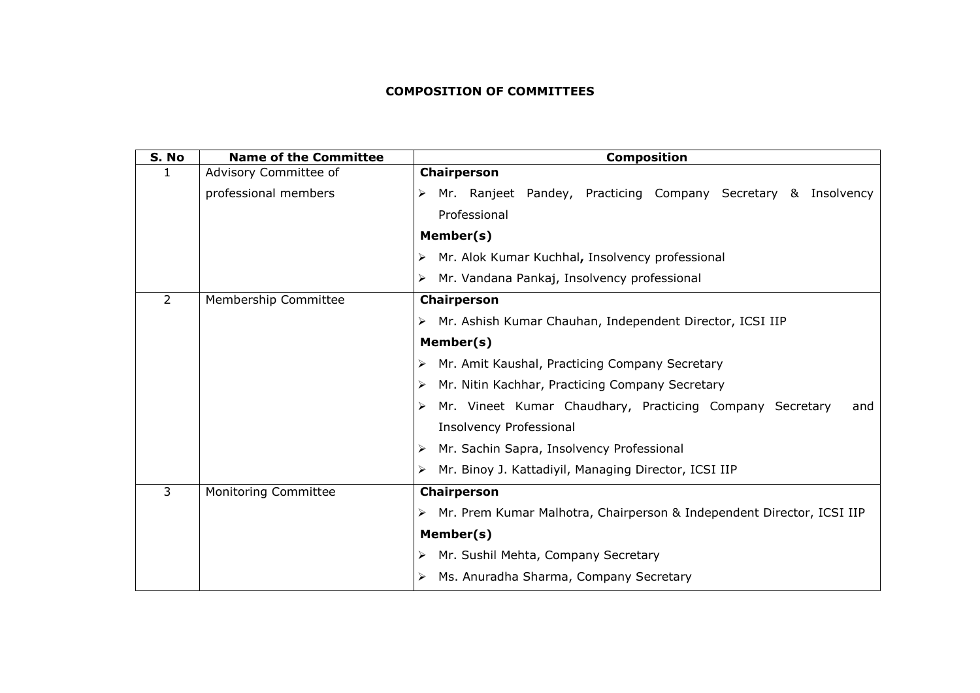## **COMPOSITION OF COMMITTEES**

| S. No          | <b>Name of the Committee</b> | <b>Composition</b>                                                         |
|----------------|------------------------------|----------------------------------------------------------------------------|
|                | Advisory Committee of        | Chairperson                                                                |
|                | professional members         | Mr. Ranjeet Pandey, Practicing Company Secretary & Insolvency              |
|                |                              | Professional                                                               |
|                |                              | Member(s)                                                                  |
|                |                              | Mr. Alok Kumar Kuchhal, Insolvency professional<br>⋗                       |
|                |                              | Mr. Vandana Pankaj, Insolvency professional<br>⋗                           |
| $\overline{2}$ | Membership Committee         | Chairperson                                                                |
|                |                              | Mr. Ashish Kumar Chauhan, Independent Director, ICSI IIP                   |
|                |                              | Member(s)                                                                  |
|                |                              | Mr. Amit Kaushal, Practicing Company Secretary<br>⋗                        |
|                |                              | Mr. Nitin Kachhar, Practicing Company Secretary<br>⋗                       |
|                |                              | Mr. Vineet Kumar Chaudhary, Practicing Company Secretary<br>and            |
|                |                              | <b>Insolvency Professional</b>                                             |
|                |                              | Mr. Sachin Sapra, Insolvency Professional<br>➤                             |
|                |                              | Mr. Binoy J. Kattadiyil, Managing Director, ICSI IIP<br>⋗                  |
| $\overline{3}$ | Monitoring Committee         | Chairperson                                                                |
|                |                              | Mr. Prem Kumar Malhotra, Chairperson & Independent Director, ICSI IIP<br>➤ |
|                |                              | Member(s)                                                                  |
|                |                              | Mr. Sushil Mehta, Company Secretary<br>➤                                   |
|                |                              | Ms. Anuradha Sharma, Company Secretary                                     |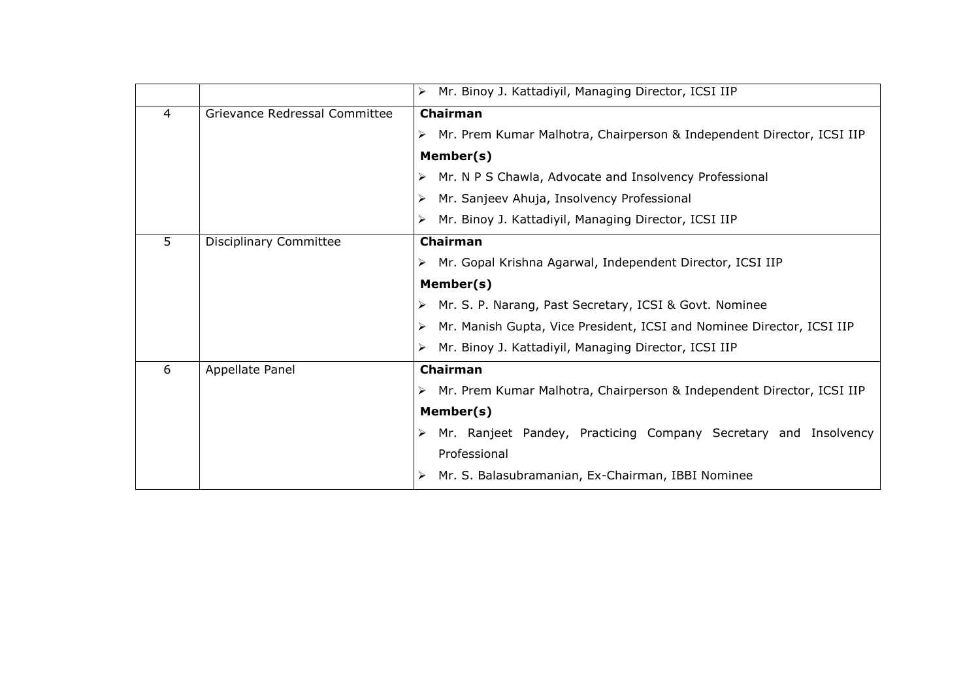|   |                               | Mr. Binoy J. Kattadiyil, Managing Director, ICSI IIP<br>➤                  |
|---|-------------------------------|----------------------------------------------------------------------------|
| 4 | Grievance Redressal Committee | Chairman                                                                   |
|   |                               | Mr. Prem Kumar Malhotra, Chairperson & Independent Director, ICSI IIP      |
|   |                               | Member(s)                                                                  |
|   |                               | Mr. N P S Chawla, Advocate and Insolvency Professional                     |
|   |                               | Mr. Sanjeev Ahuja, Insolvency Professional<br>➤                            |
|   |                               | Mr. Binoy J. Kattadiyil, Managing Director, ICSI IIP                       |
| 5 | <b>Disciplinary Committee</b> | Chairman                                                                   |
|   |                               | Mr. Gopal Krishna Agarwal, Independent Director, ICSI IIP                  |
|   |                               | Member(s)                                                                  |
|   |                               | Mr. S. P. Narang, Past Secretary, ICSI & Govt. Nominee<br>➤                |
|   |                               | Mr. Manish Gupta, Vice President, ICSI and Nominee Director, ICSI IIP<br>➤ |
|   |                               | Mr. Binoy J. Kattadiyil, Managing Director, ICSI IIP                       |
| 6 | Appellate Panel               | <b>Chairman</b>                                                            |
|   |                               | Mr. Prem Kumar Malhotra, Chairperson & Independent Director, ICSI IIP      |
|   |                               | Member(s)                                                                  |
|   |                               | Mr. Ranjeet Pandey, Practicing Company Secretary and Insolvency<br>➤       |
|   |                               | Professional                                                               |
|   |                               | Mr. S. Balasubramanian, Ex-Chairman, IBBI Nominee                          |